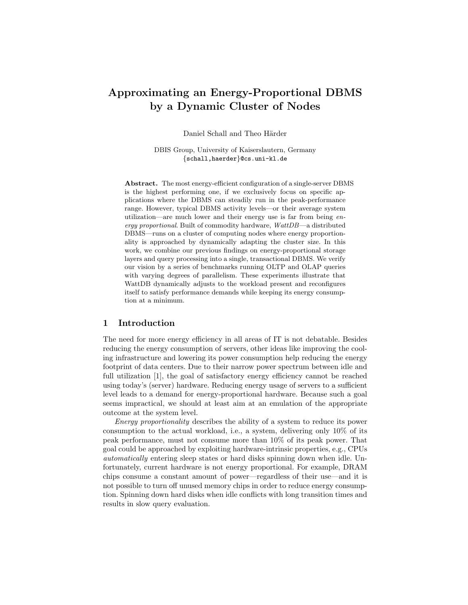# Approximating an Energy-Proportional DBMS by a Dynamic Cluster of Nodes

Daniel Schall and Theo Härder

DBIS Group, University of Kaiserslautern, Germany {schall,haerder}@cs.uni-kl.de

Abstract. The most energy-efficient configuration of a single-server DBMS is the highest performing one, if we exclusively focus on specific applications where the DBMS can steadily run in the peak-performance range. However, typical DBMS activity levels—or their average system utilization—are much lower and their energy use is far from being energy proportional. Built of commodity hardware, WattDB—a distributed DBMS—runs on a cluster of computing nodes where energy proportionality is approached by dynamically adapting the cluster size. In this work, we combine our previous findings on energy-proportional storage layers and query processing into a single, transactional DBMS. We verify our vision by a series of benchmarks running OLTP and OLAP queries with varying degrees of parallelism. These experiments illustrate that WattDB dynamically adjusts to the workload present and reconfigures itself to satisfy performance demands while keeping its energy consumption at a minimum.

# 1 Introduction

The need for more energy efficiency in all areas of IT is not debatable. Besides reducing the energy consumption of servers, other ideas like improving the cooling infrastructure and lowering its power consumption help reducing the energy footprint of data centers. Due to their narrow power spectrum between idle and full utilization [1], the goal of satisfactory energy efficiency cannot be reached using today's (server) hardware. Reducing energy usage of servers to a sufficient level leads to a demand for energy-proportional hardware. Because such a goal seems impractical, we should at least aim at an emulation of the appropriate outcome at the system level.

Energy proportionality describes the ability of a system to reduce its power consumption to the actual workload, i.e., a system, delivering only  $10\%$  of its peak performance, must not consume more than 10% of its peak power. That goal could be approached by exploiting hardware-intrinsic properties, e.g., CPUs automatically entering sleep states or hard disks spinning down when idle. Unfortunately, current hardware is not energy proportional. For example, DRAM chips consume a constant amount of power—regardless of their use—and it is not possible to turn off unused memory chips in order to reduce energy consumption. Spinning down hard disks when idle conflicts with long transition times and results in slow query evaluation.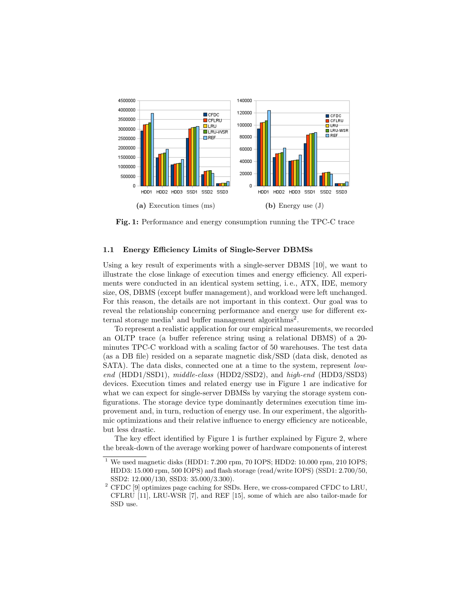

Fig. 1: Performance and energy consumption running the TPC-C trace

### 1.1 Energy Efficiency Limits of Single-Server DBMSs

Using a key result of experiments with a single-server DBMS [10], we want to illustrate the close linkage of execution times and energy efficiency. All experiments were conducted in an identical system setting, i. e., ATX, IDE, memory size, OS, DBMS (except buffer management), and workload were left unchanged. For this reason, the details are not important in this context. Our goal was to reveal the relationship concerning performance and energy use for different external storage media<sup>1</sup> and buffer management algorithms<sup>2</sup>.

To represent a realistic application for our empirical measurements, we recorded an OLTP trace (a buffer reference string using a relational DBMS) of a 20 minutes TPC-C workload with a scaling factor of 50 warehouses. The test data (as a DB file) resided on a separate magnetic disk/SSD (data disk, denoted as SATA). The data disks, connected one at a time to the system, represent *low*end (HDD1/SSD1), middle-class (HDD2/SSD2), and high-end (HDD3/SSD3) devices. Execution times and related energy use in Figure 1 are indicative for what we can expect for single-server DBMSs by varying the storage system configurations. The storage device type dominantly determines execution time improvement and, in turn, reduction of energy use. In our experiment, the algorithmic optimizations and their relative influence to energy efficiency are noticeable, but less drastic.

The key effect identified by Figure 1 is further explained by Figure 2, where the break-down of the average working power of hardware components of interest

<sup>&</sup>lt;sup>1</sup> We used magnetic disks (HDD1: 7.200 rpm, 70 IOPS; HDD2: 10.000 rpm, 210 IOPS; HDD3: 15.000 rpm, 500 IOPS) and flash storage (read/write IOPS) (SSD1: 2.700/50, SSD2: 12.000/130, SSD3: 35.000/3.300).

 $^2$  CFDC  $[9]$  optimizes page caching for SSDs. Here, we cross-compared CFDC to LRU, CFLRU [11], LRU-WSR [7], and REF [15], some of which are also tailor-made for SSD use.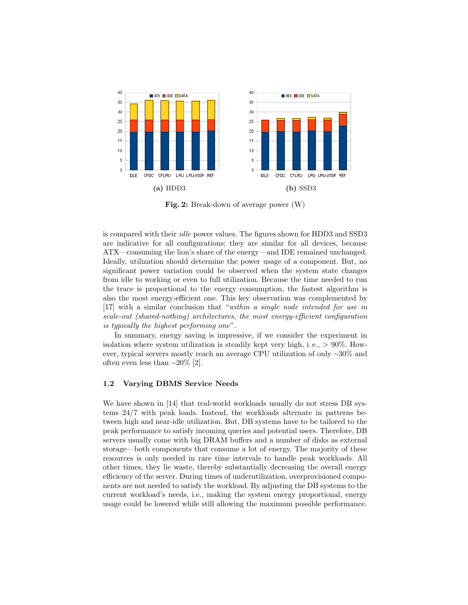

Fig. 2: Break-down of average power (W)

is compared with their idle power values. The figures shown for HDD3 and SSD3 are indicative for all configurations; they are similar for all devices, because ATX—consuming the lion's share of the energy—and IDE remained unchanged. Ideally, utilization should determine the power usage of a component. But, no significant power variation could be observed when the system state changes from idle to working or even to full utilization. Because the time needed to run the trace is proportional to the energy consumption, the fastest algorithm is also the most energy-efficient one. This key observation was complemented by [17] with a similar conclusion that "within a single node intended for use in scale-out (shared-nothing) architectures, the most energy-efficient configuration is typically the highest performing one".

In summary, energy saving is impressive, if we consider the experiment in isolation where system utilization is steadily kept very high, i.e.,  $> 90\%$ . However, typical servers mostly reach an average CPU utilization of only <sup>∼</sup>30% and often even less than <sup>∼</sup>20% [2].

## 1.2 Varying DBMS Service Needs

We have shown in [14] that real-world workloads usually do not stress DB systems 24/7 with peak loads. Instead, the workloads alternate in patterns between high and near-idle utilization. But, DB systems have to be tailored to the peak performance to satisfy incoming queries and potential users. Therefore, DB servers usually come with big DRAM buffers and a number of disks as external storage—both components that consume a lot of energy. The majority of these resources is only needed in rare time intervals to handle peak workloads. All other times, they lie waste, thereby substantially decreasing the overall energy efficiency of the server. During times of underutilization, overprovisioned components are not needed to satisfy the workload. By adjusting the DB systems to the current workload's needs, i.e., making the system energy proportional, energy usage could be lowered while still allowing the maximum possible performance.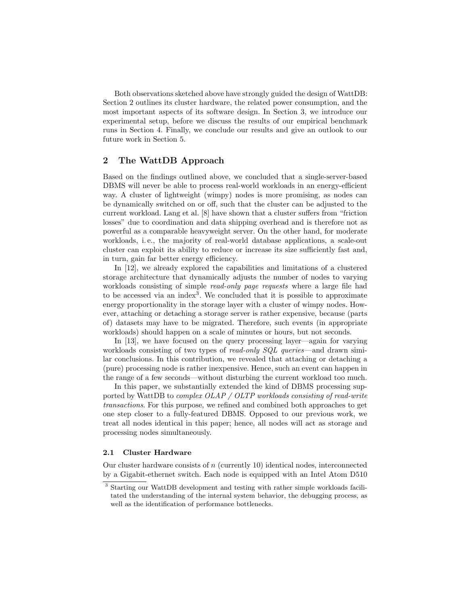Both observations sketched above have strongly guided the design of WattDB: Section 2 outlines its cluster hardware, the related power consumption, and the most important aspects of its software design. In Section 3, we introduce our experimental setup, before we discuss the results of our empirical benchmark runs in Section 4. Finally, we conclude our results and give an outlook to our future work in Section 5.

## 2 The WattDB Approach

Based on the findings outlined above, we concluded that a single-server-based DBMS will never be able to process real-world workloads in an energy-efficient way. A cluster of lightweight (wimpy) nodes is more promising, as nodes can be dynamically switched on or off, such that the cluster can be adjusted to the current workload. Lang et al. [8] have shown that a cluster suffers from "friction losses" due to coordination and data shipping overhead and is therefore not as powerful as a comparable heavyweight server. On the other hand, for moderate workloads, i. e., the majority of real-world database applications, a scale-out cluster can exploit its ability to reduce or increase its size sufficiently fast and, in turn, gain far better energy efficiency.

In [12], we already explored the capabilities and limitations of a clustered storage architecture that dynamically adjusts the number of nodes to varying workloads consisting of simple read-only page requests where a large file had to be accessed via an index<sup>3</sup>. We concluded that it is possible to approximate energy proportionality in the storage layer with a cluster of wimpy nodes. However, attaching or detaching a storage server is rather expensive, because (parts of) datasets may have to be migrated. Therefore, such events (in appropriate workloads) should happen on a scale of minutes or hours, but not seconds.

In [13], we have focused on the query processing layer—again for varying workloads consisting of two types of *read-only SQL queries*—and drawn similar conclusions. In this contribution, we revealed that attaching or detaching a (pure) processing node is rather inexpensive. Hence, such an event can happen in the range of a few seconds—without disturbing the current workload too much.

In this paper, we substantially extended the kind of DBMS processing supported by WattDB to complex OLAP / OLTP workloads consisting of read-write transactions. For this purpose, we refined and combined both approaches to get one step closer to a fully-featured DBMS. Opposed to our previous work, we treat all nodes identical in this paper; hence, all nodes will act as storage and processing nodes simultaneously.

## 2.1 Cluster Hardware

Our cluster hardware consists of n (currently 10) identical nodes, interconnected by a Gigabit-ethernet switch. Each node is equipped with an Intel Atom D510

<sup>3</sup> Starting our WattDB development and testing with rather simple workloads facilitated the understanding of the internal system behavior, the debugging process, as well as the identification of performance bottlenecks.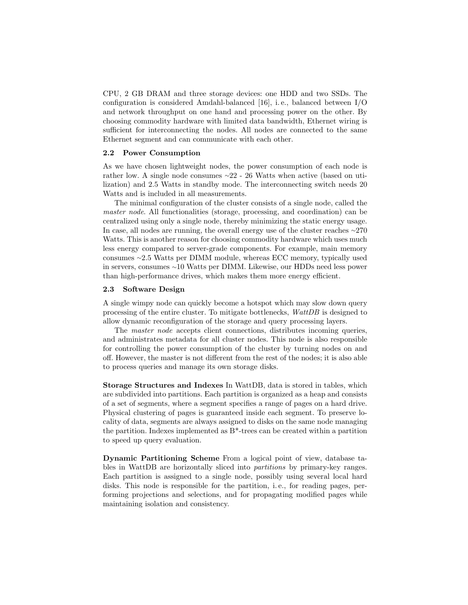CPU, 2 GB DRAM and three storage devices: one HDD and two SSDs. The configuration is considered Amdahl-balanced [16], i. e., balanced between I/O and network throughput on one hand and processing power on the other. By choosing commodity hardware with limited data bandwidth, Ethernet wiring is sufficient for interconnecting the nodes. All nodes are connected to the same Ethernet segment and can communicate with each other.

#### 2.2 Power Consumption

As we have chosen lightweight nodes, the power consumption of each node is rather low. A single node consumes ∼22 - 26 Watts when active (based on utilization) and 2.5 Watts in standby mode. The interconnecting switch needs 20 Watts and is included in all measurements.

The minimal configuration of the cluster consists of a single node, called the master node. All functionalities (storage, processing, and coordination) can be centralized using only a single node, thereby minimizing the static energy usage. In case, all nodes are running, the overall energy use of the cluster reaches <sup>∼</sup>270 Watts. This is another reason for choosing commodity hardware which uses much less energy compared to server-grade components. For example, main memory consumes <sup>∼</sup>2.5 Watts per DIMM module, whereas ECC memory, typically used in servers, consumes <sup>∼</sup>10 Watts per DIMM. Likewise, our HDDs need less power than high-performance drives, which makes them more energy efficient.

## 2.3 Software Design

A single wimpy node can quickly become a hotspot which may slow down query processing of the entire cluster. To mitigate bottlenecks, WattDB is designed to allow dynamic reconfiguration of the storage and query processing layers.

The master node accepts client connections, distributes incoming queries, and administrates metadata for all cluster nodes. This node is also responsible for controlling the power consumption of the cluster by turning nodes on and off. However, the master is not different from the rest of the nodes; it is also able to process queries and manage its own storage disks.

Storage Structures and Indexes In WattDB, data is stored in tables, which are subdivided into partitions. Each partition is organized as a heap and consists of a set of segments, where a segment specifies a range of pages on a hard drive. Physical clustering of pages is guaranteed inside each segment. To preserve locality of data, segments are always assigned to disks on the same node managing the partition. Indexes implemented as B\*-trees can be created within a partition to speed up query evaluation.

Dynamic Partitioning Scheme From a logical point of view, database tables in WattDB are horizontally sliced into partitions by primary-key ranges. Each partition is assigned to a single node, possibly using several local hard disks. This node is responsible for the partition, i. e., for reading pages, performing projections and selections, and for propagating modified pages while maintaining isolation and consistency.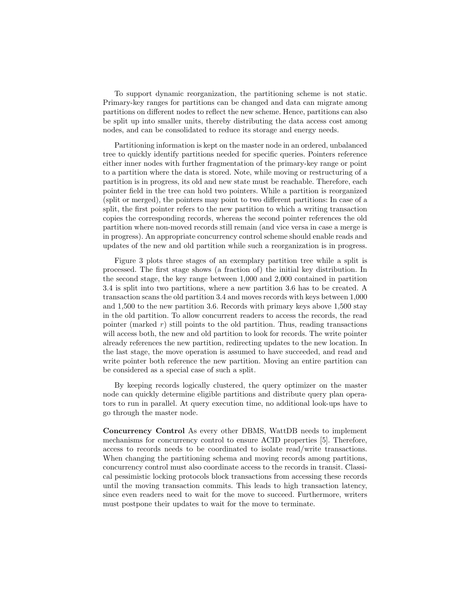To support dynamic reorganization, the partitioning scheme is not static. Primary-key ranges for partitions can be changed and data can migrate among partitions on different nodes to reflect the new scheme. Hence, partitions can also be split up into smaller units, thereby distributing the data access cost among nodes, and can be consolidated to reduce its storage and energy needs.

Partitioning information is kept on the master node in an ordered, unbalanced tree to quickly identify partitions needed for specific queries. Pointers reference either inner nodes with further fragmentation of the primary-key range or point to a partition where the data is stored. Note, while moving or restructuring of a partition is in progress, its old and new state must be reachable. Therefore, each pointer field in the tree can hold two pointers. While a partition is reorganized (split or merged), the pointers may point to two different partitions: In case of a split, the first pointer refers to the new partition to which a writing transaction copies the corresponding records, whereas the second pointer references the old partition where non-moved records still remain (and vice versa in case a merge is in progress). An appropriate concurrency control scheme should enable reads and updates of the new and old partition while such a reorganization is in progress.

Figure 3 plots three stages of an exemplary partition tree while a split is processed. The first stage shows (a fraction of) the initial key distribution. In the second stage, the key range between 1,000 and 2,000 contained in partition 3.4 is split into two partitions, where a new partition 3.6 has to be created. A transaction scans the old partition 3.4 and moves records with keys between 1,000 and 1,500 to the new partition 3.6. Records with primary keys above 1,500 stay in the old partition. To allow concurrent readers to access the records, the read pointer (marked  $r$ ) still points to the old partition. Thus, reading transactions will access both, the new and old partition to look for records. The write pointer already references the new partition, redirecting updates to the new location. In the last stage, the move operation is assumed to have succeeded, and read and write pointer both reference the new partition. Moving an entire partition can be considered as a special case of such a split.

By keeping records logically clustered, the query optimizer on the master node can quickly determine eligible partitions and distribute query plan operators to run in parallel. At query execution time, no additional look-ups have to go through the master node.

Concurrency Control As every other DBMS, WattDB needs to implement mechanisms for concurrency control to ensure ACID properties [5]. Therefore, access to records needs to be coordinated to isolate read/write transactions. When changing the partitioning schema and moving records among partitions, concurrency control must also coordinate access to the records in transit. Classical pessimistic locking protocols block transactions from accessing these records until the moving transaction commits. This leads to high transaction latency, since even readers need to wait for the move to succeed. Furthermore, writers must postpone their updates to wait for the move to terminate.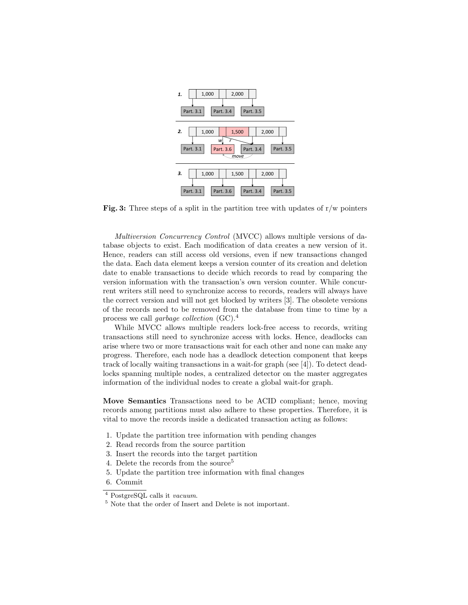

**Fig. 3:** Three steps of a split in the partition tree with updates of  $r/w$  pointers

Multiversion Concurrency Control (MVCC) allows multiple versions of database objects to exist. Each modification of data creates a new version of it. Hence, readers can still access old versions, even if new transactions changed the data. Each data element keeps a version counter of its creation and deletion date to enable transactions to decide which records to read by comparing the version information with the transaction's own version counter. While concurrent writers still need to synchronize access to records, readers will always have the correct version and will not get blocked by writers [3]. The obsolete versions of the records need to be removed from the database from time to time by a process we call garbage collection (GC).<sup>4</sup>

While MVCC allows multiple readers lock-free access to records, writing transactions still need to synchronize access with locks. Hence, deadlocks can arise where two or more transactions wait for each other and none can make any progress. Therefore, each node has a deadlock detection component that keeps track of locally waiting transactions in a wait-for graph (see [4]). To detect deadlocks spanning multiple nodes, a centralized detector on the master aggregates information of the individual nodes to create a global wait-for graph.

Move Semantics Transactions need to be ACID compliant; hence, moving records among partitions must also adhere to these properties. Therefore, it is vital to move the records inside a dedicated transaction acting as follows:

- 1. Update the partition tree information with pending changes
- 2. Read records from the source partition
- 3. Insert the records into the target partition
- 4. Delete the records from the source<sup>5</sup>
- 5. Update the partition tree information with final changes
- 6. Commit

<sup>4</sup> PostgreSQL calls it vacuum.

<sup>&</sup>lt;sup>5</sup> Note that the order of Insert and Delete is not important.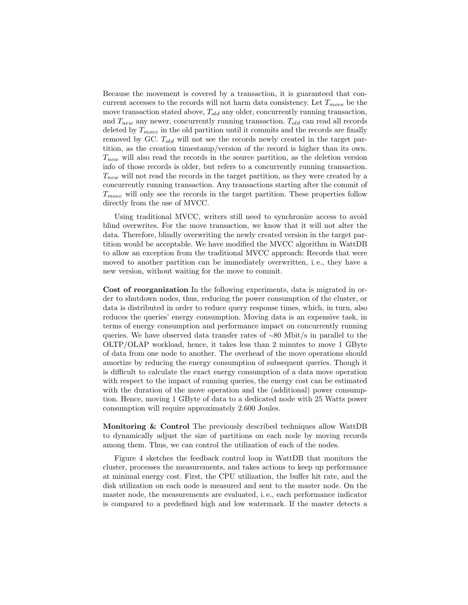Because the movement is covered by a transaction, it is guaranteed that concurrent accesses to the records will not harm data consistency. Let  $T_{move}$  be the move transaction stated above,  $T_{old}$  any older, concurrently running transaction, and  $T_{new}$  any newer, concurrently running transaction.  $T_{old}$  can read all records deleted by  $T_{move}$  in the old partition until it commits and the records are finally removed by GC.  $T_{old}$  will not see the records newly created in the target partition, as the creation timestamp/version of the record is higher than its own.  $T_{new}$  will also read the records in the source partition, as the deletion version info of those records is older, but refers to a concurrently running transaction.  $T_{new}$  will not read the records in the target partition, as they were created by a concurrently running transaction. Any transactions starting after the commit of  $T_{move}$  will only see the records in the target partition. These properties follow directly from the use of MVCC.

Using traditional MVCC, writers still need to synchronize access to avoid blind overwrites. For the move transaction, we know that it will not alter the data. Therefore, blindly overwriting the newly created version in the target partition would be acceptable. We have modified the MVCC algorithm in WattDB to allow an exception from the traditional MVCC approach: Records that were moved to another partition can be immediately overwritten, i. e., they have a new version, without waiting for the move to commit.

Cost of reorganization In the following experiments, data is migrated in order to shutdown nodes, thus, reducing the power consumption of the cluster, or data is distributed in order to reduce query response times, which, in turn, also reduces the queries' energy consumption. Moving data is an expensive task, in terms of energy consumption and performance impact on concurrently running queries. We have observed data transfer rates of <sup>∼</sup>80 Mbit/s in parallel to the OLTP/OLAP workload, hence, it takes less than 2 minutes to move 1 GByte of data from one node to another. The overhead of the move operations should amortize by reducing the energy consumption of subsequent queries. Though it is difficult to calculate the exact energy consumption of a data move operation with respect to the impact of running queries, the energy cost can be estimated with the duration of the move operation and the (additional) power consumption. Hence, moving 1 GByte of data to a dedicated node with 25 Watts power consumption will require approximately 2.600 Joules.

Monitoring & Control The previously described techniques allow WattDB to dynamically adjust the size of partitions on each node by moving records among them. Thus, we can control the utilization of each of the nodes.

Figure 4 sketches the feedback control loop in WattDB that monitors the cluster, processes the measurements, and takes actions to keep up performance at minimal energy cost. First, the CPU utilization, the buffer hit rate, and the disk utilization on each node is measured and sent to the master node. On the master node, the measurements are evaluated, i. e., each performance indicator is compared to a predefined high and low watermark. If the master detects a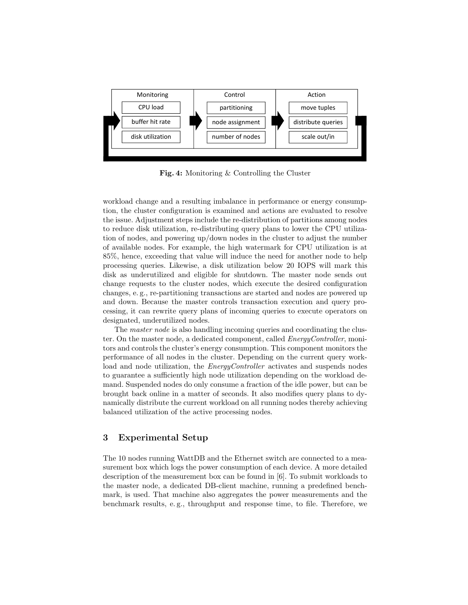

Fig. 4: Monitoring & Controlling the Cluster

workload change and a resulting imbalance in performance or energy consumption, the cluster configuration is examined and actions are evaluated to resolve the issue. Adjustment steps include the re-distribution of partitions among nodes to reduce disk utilization, re-distributing query plans to lower the CPU utilization of nodes, and powering up/down nodes in the cluster to adjust the number of available nodes. For example, the high watermark for CPU utilization is at 85%, hence, exceeding that value will induce the need for another node to help processing queries. Likewise, a disk utilization below 20 IOPS will mark this disk as underutilized and eligible for shutdown. The master node sends out change requests to the cluster nodes, which execute the desired configuration changes, e. g., re-partitioning transactions are started and nodes are powered up and down. Because the master controls transaction execution and query processing, it can rewrite query plans of incoming queries to execute operators on designated, underutilized nodes.

The *master node* is also handling incoming queries and coordinating the cluster. On the master node, a dedicated component, called EnergyController, monitors and controls the cluster's energy consumption. This component monitors the performance of all nodes in the cluster. Depending on the current query workload and node utilization, the *EnergyController* activates and suspends nodes to guarantee a sufficiently high node utilization depending on the workload demand. Suspended nodes do only consume a fraction of the idle power, but can be brought back online in a matter of seconds. It also modifies query plans to dynamically distribute the current workload on all running nodes thereby achieving balanced utilization of the active processing nodes.

# 3 Experimental Setup

The 10 nodes running WattDB and the Ethernet switch are connected to a measurement box which logs the power consumption of each device. A more detailed description of the measurement box can be found in [6]. To submit workloads to the master node, a dedicated DB-client machine, running a predefined benchmark, is used. That machine also aggregates the power measurements and the benchmark results, e. g., throughput and response time, to file. Therefore, we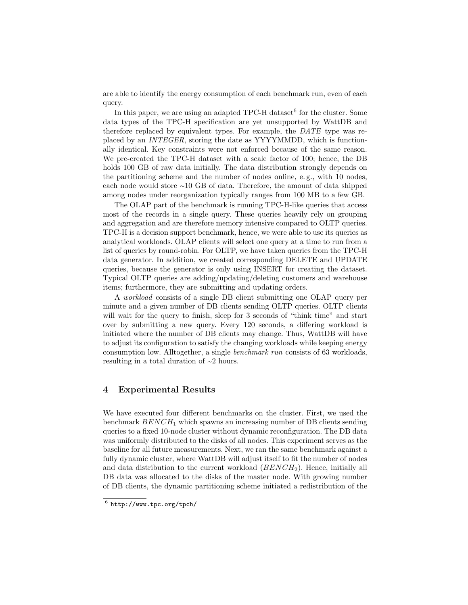are able to identify the energy consumption of each benchmark run, even of each query.

In this paper, we are using an adapted TPC-H dataset<sup>6</sup> for the cluster. Some data types of the TPC-H specification are yet unsupported by WattDB and therefore replaced by equivalent types. For example, the DATE type was replaced by an INTEGER, storing the date as YYYYMMDD, which is functionally identical. Key constraints were not enforced because of the same reason. We pre-created the TPC-H dataset with a scale factor of 100; hence, the DB holds 100 GB of raw data initially. The data distribution strongly depends on the partitioning scheme and the number of nodes online, e. g., with 10 nodes, each node would store ∼10 GB of data. Therefore, the amount of data shipped among nodes under reorganization typically ranges from 100 MB to a few GB.

The OLAP part of the benchmark is running TPC-H-like queries that access most of the records in a single query. These queries heavily rely on grouping and aggregation and are therefore memory intensive compared to OLTP queries. TPC-H is a decision support benchmark, hence, we were able to use its queries as analytical workloads. OLAP clients will select one query at a time to run from a list of queries by round-robin. For OLTP, we have taken queries from the TPC-H data generator. In addition, we created corresponding DELETE and UPDATE queries, because the generator is only using INSERT for creating the dataset. Typical OLTP queries are adding/updating/deleting customers and warehouse items; furthermore, they are submitting and updating orders.

A workload consists of a single DB client submitting one OLAP query per minute and a given number of DB clients sending OLTP queries. OLTP clients will wait for the query to finish, sleep for 3 seconds of "think time" and start over by submitting a new query. Every 120 seconds, a differing workload is initiated where the number of DB clients may change. Thus, WattDB will have to adjust its configuration to satisfy the changing workloads while keeping energy consumption low. Alltogether, a single benchmark run consists of 63 workloads, resulting in a total duration of <sup>∼</sup>2 hours.

# 4 Experimental Results

We have executed four different benchmarks on the cluster. First, we used the benchmark  $BENCH<sub>1</sub>$  which spawns an increasing number of DB clients sending queries to a fixed 10-node cluster without dynamic reconfiguration. The DB data was uniformly distributed to the disks of all nodes. This experiment serves as the baseline for all future measurements. Next, we ran the same benchmark against a fully dynamic cluster, where WattDB will adjust itself to fit the number of nodes and data distribution to the current workload  $(BENCH<sub>2</sub>)$ . Hence, initially all DB data was allocated to the disks of the master node. With growing number of DB clients, the dynamic partitioning scheme initiated a redistribution of the

 $^6$  http://www.tpc.org/tpch/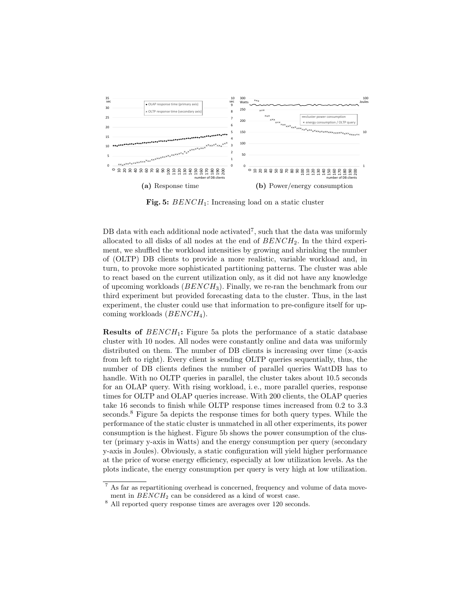

Fig. 5:  $BENCH_1$ : Increasing load on a static cluster

DB data with each additional node activated<sup>7</sup>, such that the data was uniformly allocated to all disks of all nodes at the end of  $BENCH<sub>2</sub>$ . In the third experiment, we shuffled the workload intensities by growing and shrinking the number of (OLTP) DB clients to provide a more realistic, variable workload and, in turn, to provoke more sophisticated partitioning patterns. The cluster was able to react based on the current utilization only, as it did not have any knowledge of upcoming workloads  $(BENCH_3)$ . Finally, we re-ran the benchmark from our third experiment but provided forecasting data to the cluster. Thus, in the last experiment, the cluster could use that information to pre-configure itself for upcoming workloads  $(BENCH<sub>4</sub>)$ .

**Results of**  $BENCH_1$ : Figure 5a plots the performance of a static database cluster with 10 nodes. All nodes were constantly online and data was uniformly distributed on them. The number of DB clients is increasing over time (x-axis from left to right). Every client is sending OLTP queries sequentially, thus, the number of DB clients defines the number of parallel queries WattDB has to handle. With no OLTP queries in parallel, the cluster takes about 10.5 seconds for an OLAP query. With rising workload, i. e., more parallel queries, response times for OLTP and OLAP queries increase. With 200 clients, the OLAP queries take 16 seconds to finish while OLTP response times increased from 0.2 to 3.3 seconds.<sup>8</sup> Figure 5a depicts the response times for both query types. While the performance of the static cluster is unmatched in all other experiments, its power consumption is the highest. Figure 5b shows the power consumption of the cluster (primary y-axis in Watts) and the energy consumption per query (secondary y-axis in Joules). Obviously, a static configuration will yield higher performance at the price of worse energy efficiency, especially at low utilization levels. As the plots indicate, the energy consumption per query is very high at low utilization.

<sup>7</sup> As far as repartitioning overhead is concerned, frequency and volume of data movement in  $BENCH<sub>2</sub>$  can be considered as a kind of worst case.

 $^8$  All reported query response times are averages over 120 seconds.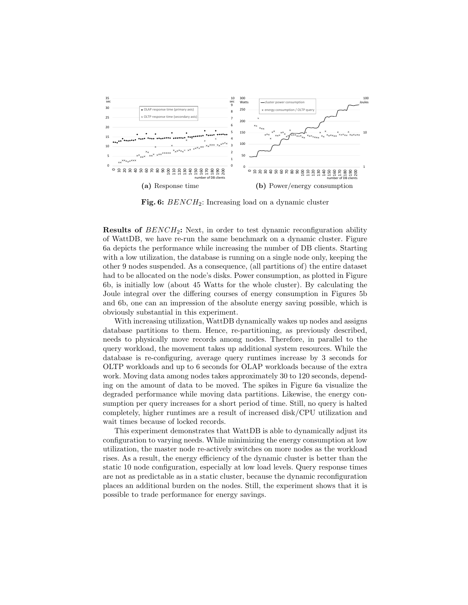

Fig. 6:  $BENCH<sub>2</sub>$ : Increasing load on a dynamic cluster

**Results of**  $BENCH<sub>2</sub>$ : Next, in order to test dynamic reconfiguration ability of WattDB, we have re-run the same benchmark on a dynamic cluster. Figure 6a depicts the performance while increasing the number of DB clients. Starting with a low utilization, the database is running on a single node only, keeping the other 9 nodes suspended. As a consequence, (all partitions of) the entire dataset had to be allocated on the node's disks. Power consumption, as plotted in Figure 6b, is initially low (about 45 Watts for the whole cluster). By calculating the Joule integral over the differing courses of energy consumption in Figures 5b and 6b, one can an impression of the absolute energy saving possible, which is obviously substantial in this experiment.

With increasing utilization, WattDB dynamically wakes up nodes and assigns database partitions to them. Hence, re-partitioning, as previously described, needs to physically move records among nodes. Therefore, in parallel to the query workload, the movement takes up additional system resources. While the database is re-configuring, average query runtimes increase by 3 seconds for OLTP workloads and up to 6 seconds for OLAP workloads because of the extra work. Moving data among nodes takes approximately 30 to 120 seconds, depending on the amount of data to be moved. The spikes in Figure 6a visualize the degraded performance while moving data partitions. Likewise, the energy consumption per query increases for a short period of time. Still, no query is halted completely, higher runtimes are a result of increased disk/CPU utilization and wait times because of locked records.

This experiment demonstrates that WattDB is able to dynamically adjust its configuration to varying needs. While minimizing the energy consumption at low utilization, the master node re-actively switches on more nodes as the workload rises. As a result, the energy efficiency of the dynamic cluster is better than the static 10 node configuration, especially at low load levels. Query response times are not as predictable as in a static cluster, because the dynamic reconfiguration places an additional burden on the nodes. Still, the experiment shows that it is possible to trade performance for energy savings.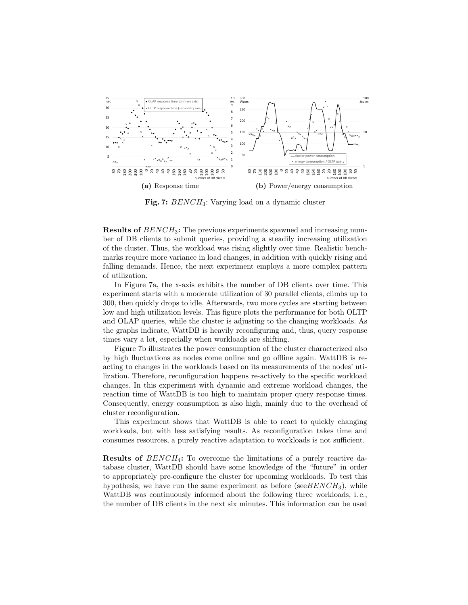

Fig. 7:  $BENCH<sub>3</sub>$ : Varying load on a dynamic cluster

Results of BENCH3: The previous experiments spawned and increasing number of DB clients to submit queries, providing a steadily increasing utilization of the cluster. Thus, the workload was rising slightly over time. Realistic benchmarks require more variance in load changes, in addition with quickly rising and falling demands. Hence, the next experiment employs a more complex pattern of utilization.

In Figure 7a, the x-axis exhibits the number of DB clients over time. This experiment starts with a moderate utilization of 30 parallel clients, climbs up to 300, then quickly drops to idle. Afterwards, two more cycles are starting between low and high utilization levels. This figure plots the performance for both OLTP and OLAP queries, while the cluster is adjusting to the changing workloads. As the graphs indicate, WattDB is heavily reconfiguring and, thus, query response times vary a lot, especially when workloads are shifting.

Figure 7b illustrates the power consumption of the cluster characterized also by high fluctuations as nodes come online and go offline again. WattDB is reacting to changes in the workloads based on its measurements of the nodes' utilization. Therefore, reconfiguration happens re-actively to the specific workload changes. In this experiment with dynamic and extreme workload changes, the reaction time of WattDB is too high to maintain proper query response times. Consequently, energy consumption is also high, mainly due to the overhead of cluster reconfiguration.

This experiment shows that WattDB is able to react to quickly changing workloads, but with less satisfying results. As reconfiguration takes time and consumes resources, a purely reactive adaptation to workloads is not sufficient.

**Results of**  $BENCH<sub>4</sub>$ : To overcome the limitations of a purely reactive database cluster, WattDB should have some knowledge of the "future" in order to appropriately pre-configure the cluster for upcoming workloads. To test this hypothesis, we have run the same experiment as before (see  $BENCH<sub>3</sub>$ ), while WattDB was continuously informed about the following three workloads, i. e., the number of DB clients in the next six minutes. This information can be used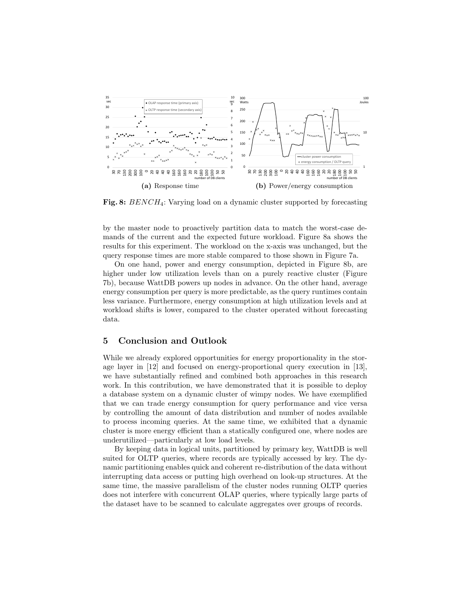

Fig. 8: BENCH<sub>4</sub>: Varying load on a dynamic cluster supported by forecasting

by the master node to proactively partition data to match the worst-case demands of the current and the expected future workload. Figure 8a shows the results for this experiment. The workload on the x-axis was unchanged, but the query response times are more stable compared to those shown in Figure 7a.

On one hand, power and energy consumption, depicted in Figure 8b, are higher under low utilization levels than on a purely reactive cluster (Figure 7b), because WattDB powers up nodes in advance. On the other hand, average energy consumption per query is more predictable, as the query runtimes contain less variance. Furthermore, energy consumption at high utilization levels and at workload shifts is lower, compared to the cluster operated without forecasting data.

## 5 Conclusion and Outlook

While we already explored opportunities for energy proportionality in the storage layer in [12] and focused on energy-proportional query execution in [13], we have substantially refined and combined both approaches in this research work. In this contribution, we have demonstrated that it is possible to deploy a database system on a dynamic cluster of wimpy nodes. We have exemplified that we can trade energy consumption for query performance and vice versa by controlling the amount of data distribution and number of nodes available to process incoming queries. At the same time, we exhibited that a dynamic cluster is more energy efficient than a statically configured one, where nodes are underutilized—particularly at low load levels.

By keeping data in logical units, partitioned by primary key, WattDB is well suited for OLTP queries, where records are typically accessed by key. The dynamic partitioning enables quick and coherent re-distribution of the data without interrupting data access or putting high overhead on look-up structures. At the same time, the massive parallelism of the cluster nodes running OLTP queries does not interfere with concurrent OLAP queries, where typically large parts of the dataset have to be scanned to calculate aggregates over groups of records.